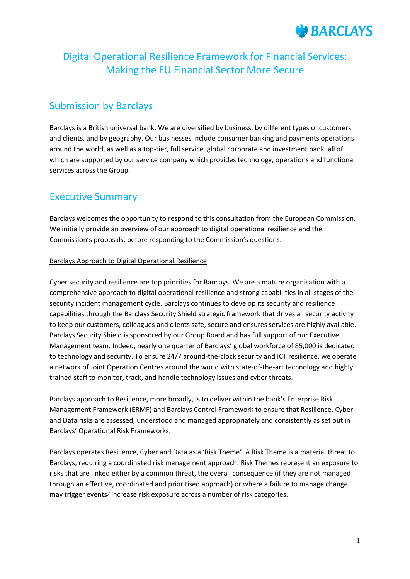

# Digital Operational Resilience Framework for Financial Services: Making the EU Financial Sector More Secure

## Submission by Barclays

Barclays is a British universal bank. We are diversified by business, by different types of customers and clients, and by geography. Our businesses include consumer banking and payments operations around the world, as well as a top-tier, full service, global corporate and investment bank, all of which are supported by our service company which provides technology, operations and functional services across the Group.

## Executive Summary

Barclays welcomes the opportunity to respond to this consultation from the European Commission. We initially provide an overview of our approach to digital operational resilience and the Commission's proposals, before responding to the Commission's questions.

## Barclays Approach to Digital Operational Resilience

Cyber security and resilience are top priorities for Barclays. We are a mature organisation with a comprehensive approach to digital operational resilience and strong capabilities in all stages of the security incident management cycle. Barclays continues to develop its security and resilience capabilities through the Barclays Security Shield strategic framework that drives all security activity to keep our customers, colleagues and clients safe, secure and ensures services are highly available. Barclays Security Shield is sponsored by our Group Board and has full support of our Executive Management team. Indeed, nearly one quarter of Barclays' global workforce of 85,000 is dedicated to technology and security. To ensure 24/7 around-the-clock security and ICT resilience, we operate a network of Joint Operation Centres around the world with state-of-the-art technology and highly trained staff to monitor, track, and handle technology issues and cyber threats.

Barclays approach to Resilience, more broadly, is to deliver within the bank's Enterprise Risk Management Framework (ERMF) and Barclays Control Framework to ensure that Resilience, Cyber and Data risks are assessed, understood and managed appropriately and consistently as set out in Barclays' Operational Risk Frameworks.

Barclays operates Resilience, Cyber and Data as a 'Risk Theme'. A Risk Theme is a material threat to Barclays, requiring a coordinated risk management approach. Risk Themes represent an exposure to risks that are linked either by a common threat, the overall consequence (if they are not managed through an effective, coordinated and prioritised approach) or where a failure to manage change may trigger events⁄ increase risk exposure across a number of risk categories.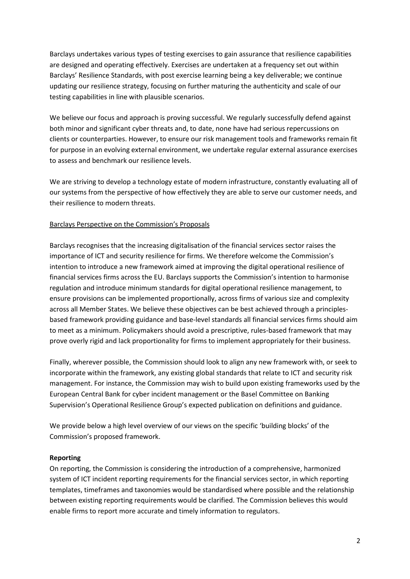Barclays undertakes various types of testing exercises to gain assurance that resilience capabilities are designed and operating effectively. Exercises are undertaken at a frequency set out within Barclays' Resilience Standards, with post exercise learning being a key deliverable; we continue updating our resilience strategy, focusing on further maturing the authenticity and scale of our testing capabilities in line with plausible scenarios.

We believe our focus and approach is proving successful. We regularly successfully defend against both minor and significant cyber threats and, to date, none have had serious repercussions on clients or counterparties. However, to ensure our risk management tools and frameworks remain fit for purpose in an evolving external environment, we undertake regular external assurance exercises to assess and benchmark our resilience levels.

We are striving to develop a technology estate of modern infrastructure, constantly evaluating all of our systems from the perspective of how effectively they are able to serve our customer needs, and their resilience to modern threats.

### Barclays Perspective on the Commission's Proposals

Barclays recognises that the increasing digitalisation of the financial services sector raises the importance of ICT and security resilience for firms. We therefore welcome the Commission's intention to introduce a new framework aimed at improving the digital operational resilience of financial services firms across the EU. Barclays supports the Commission's intention to harmonise regulation and introduce minimum standards for digital operational resilience management, to ensure provisions can be implemented proportionally, across firms of various size and complexity across all Member States. We believe these objectives can be best achieved through a principlesbased framework providing guidance and base-level standards all financial services firms should aim to meet as a minimum. Policymakers should avoid a prescriptive, rules-based framework that may prove overly rigid and lack proportionality for firms to implement appropriately for their business.

Finally, wherever possible, the Commission should look to align any new framework with, or seek to incorporate within the framework, any existing global standards that relate to ICT and security risk management. For instance, the Commission may wish to build upon existing frameworks used by the European Central Bank for cyber incident management or the Basel Committee on Banking Supervision's Operational Resilience Group's expected publication on definitions and guidance.

We provide below a high level overview of our views on the specific 'building blocks' of the Commission's proposed framework.

#### **Reporting**

On reporting, the Commission is considering the introduction of a comprehensive, harmonized system of ICT incident reporting requirements for the financial services sector, in which reporting templates, timeframes and taxonomies would be standardised where possible and the relationship between existing reporting requirements would be clarified. The Commission believes this would enable firms to report more accurate and timely information to regulators.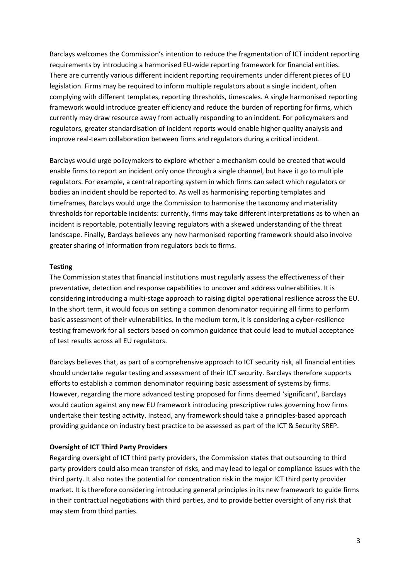Barclays welcomes the Commission's intention to reduce the fragmentation of ICT incident reporting requirements by introducing a harmonised EU-wide reporting framework for financial entities. There are currently various different incident reporting requirements under different pieces of EU legislation. Firms may be required to inform multiple regulators about a single incident, often complying with different templates, reporting thresholds, timescales. A single harmonised reporting framework would introduce greater efficiency and reduce the burden of reporting for firms, which currently may draw resource away from actually responding to an incident. For policymakers and regulators, greater standardisation of incident reports would enable higher quality analysis and improve real-team collaboration between firms and regulators during a critical incident.

Barclays would urge policymakers to explore whether a mechanism could be created that would enable firms to report an incident only once through a single channel, but have it go to multiple regulators. For example, a central reporting system in which firms can select which regulators or bodies an incident should be reported to. As well as harmonising reporting templates and timeframes, Barclays would urge the Commission to harmonise the taxonomy and materiality thresholds for reportable incidents: currently, firms may take different interpretations as to when an incident is reportable, potentially leaving regulators with a skewed understanding of the threat landscape. Finally, Barclays believes any new harmonised reporting framework should also involve greater sharing of information from regulators back to firms.

#### **Testing**

The Commission states that financial institutions must regularly assess the effectiveness of their preventative, detection and response capabilities to uncover and address vulnerabilities. It is considering introducing a multi-stage approach to raising digital operational resilience across the EU. In the short term, it would focus on setting a common denominator requiring all firms to perform basic assessment of their vulnerabilities. In the medium term, it is considering a cyber-resilience testing framework for all sectors based on common guidance that could lead to mutual acceptance of test results across all EU regulators.

Barclays believes that, as part of a comprehensive approach to ICT security risk, all financial entities should undertake regular testing and assessment of their ICT security. Barclays therefore supports efforts to establish a common denominator requiring basic assessment of systems by firms. However, regarding the more advanced testing proposed for firms deemed 'significant', Barclays would caution against any new EU framework introducing prescriptive rules governing how firms undertake their testing activity. Instead, any framework should take a principles-based approach providing guidance on industry best practice to be assessed as part of the ICT & Security SREP.

#### **Oversight of ICT Third Party Providers**

Regarding oversight of ICT third party providers, the Commission states that outsourcing to third party providers could also mean transfer of risks, and may lead to legal or compliance issues with the third party. It also notes the potential for concentration risk in the major ICT third party provider market. It is therefore considering introducing general principles in its new framework to guide firms in their contractual negotiations with third parties, and to provide better oversight of any risk that may stem from third parties.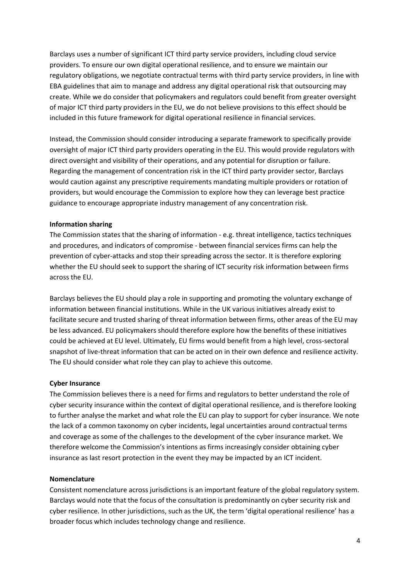Barclays uses a number of significant ICT third party service providers, including cloud service providers. To ensure our own digital operational resilience, and to ensure we maintain our regulatory obligations, we negotiate contractual terms with third party service providers, in line with EBA guidelines that aim to manage and address any digital operational risk that outsourcing may create. While we do consider that policymakers and regulators could benefit from greater oversight of major ICT third party providers in the EU, we do not believe provisions to this effect should be included in this future framework for digital operational resilience in financial services.

Instead, the Commission should consider introducing a separate framework to specifically provide oversight of major ICT third party providers operating in the EU. This would provide regulators with direct oversight and visibility of their operations, and any potential for disruption or failure. Regarding the management of concentration risk in the ICT third party provider sector, Barclays would caution against any prescriptive requirements mandating multiple providers or rotation of providers, but would encourage the Commission to explore how they can leverage best practice guidance to encourage appropriate industry management of any concentration risk.

#### **Information sharing**

The Commission states that the sharing of information - e.g. threat intelligence, tactics techniques and procedures, and indicators of compromise - between financial services firms can help the prevention of cyber-attacks and stop their spreading across the sector. It is therefore exploring whether the EU should seek to support the sharing of ICT security risk information between firms across the EU.

Barclays believes the EU should play a role in supporting and promoting the voluntary exchange of information between financial institutions. While in the UK various initiatives already exist to facilitate secure and trusted sharing of threat information between firms, other areas of the EU may be less advanced. EU policymakers should therefore explore how the benefits of these initiatives could be achieved at EU level. Ultimately, EU firms would benefit from a high level, cross-sectoral snapshot of live-threat information that can be acted on in their own defence and resilience activity. The EU should consider what role they can play to achieve this outcome.

#### **Cyber Insurance**

The Commission believes there is a need for firms and regulators to better understand the role of cyber security insurance within the context of digital operational resilience, and is therefore looking to further analyse the market and what role the EU can play to support for cyber insurance. We note the lack of a common taxonomy on cyber incidents, legal uncertainties around contractual terms and coverage as some of the challenges to the development of the cyber insurance market. We therefore welcome the Commission's intentions as firms increasingly consider obtaining cyber insurance as last resort protection in the event they may be impacted by an ICT incident.

#### **Nomenclature**

Consistent nomenclature across jurisdictions is an important feature of the global regulatory system. Barclays would note that the focus of the consultation is predominantly on cyber security risk and cyber resilience. In other jurisdictions, such as the UK, the term 'digital operational resilience' has a broader focus which includes technology change and resilience.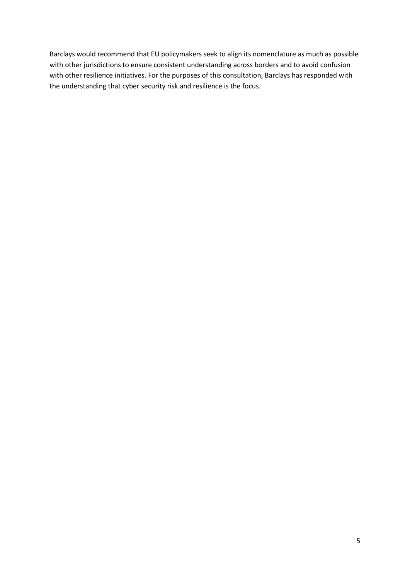Barclays would recommend that EU policymakers seek to align its nomenclature as much as possible with other jurisdictions to ensure consistent understanding across borders and to avoid confusion with other resilience initiatives. For the purposes of this consultation, Barclays has responded with the understanding that cyber security risk and resilience is the focus.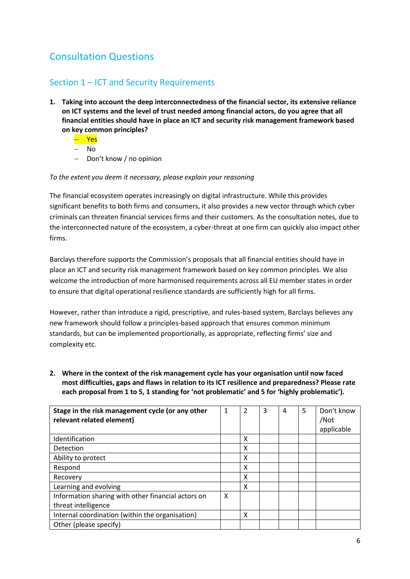# Consultation Questions

## Section 1 – ICT and Security Requirements

- **1. Taking into account the deep interconnectedness of the financial sector, its extensive reliance on ICT systems and the level of trust needed among financial actors, do you agree that all financial entities should have in place an ICT and security risk management framework based on key common principles?**
	- Yes
	- $-$  No
	- Don't know / no opinion

### *To the extent you deem it necessary, please explain your reasoning*

The financial ecosystem operates increasingly on digital infrastructure. While this provides significant benefits to both firms and consumers, it also provides a new vector through which cyber criminals can threaten financial services firms and their customers. As the consultation notes, due to the interconnected nature of the ecosystem, a cyber-threat at one firm can quickly also impact other firms.

Barclays therefore supports the Commission's proposals that all financial entities should have in place an ICT and security risk management framework based on key common principles. We also welcome the introduction of more harmonised requirements across all EU member states in order to ensure that digital operational resilience standards are sufficiently high for all firms.

However, rather than introduce a rigid, prescriptive, and rules-based system, Barclays believes any new framework should follow a principles-based approach that ensures common minimum standards, but can be implemented proportionally, as appropriate, reflecting firms' size and complexity etc.

## **2. Where in the context of the risk management cycle has your organisation until now faced most difficulties, gaps and flaws in relation to its ICT resilience and preparedness? Please rate each proposal from 1 to 5, 1 standing for 'not problematic' and 5 for 'highly problematic').**

| Stage in the risk management cycle (or any other<br>relevant related element) | 1 | 2 | 3 | 4 | 5 | Don't know<br>/Not<br>applicable |
|-------------------------------------------------------------------------------|---|---|---|---|---|----------------------------------|
| Identification                                                                |   | X |   |   |   |                                  |
| Detection                                                                     |   | x |   |   |   |                                  |
| Ability to protect                                                            |   | x |   |   |   |                                  |
| Respond                                                                       |   | x |   |   |   |                                  |
| Recovery                                                                      |   | x |   |   |   |                                  |
| Learning and evolving                                                         |   | x |   |   |   |                                  |
| Information sharing with other financial actors on                            | X |   |   |   |   |                                  |
| threat intelligence                                                           |   |   |   |   |   |                                  |
| Internal coordination (within the organisation)                               |   | x |   |   |   |                                  |
| Other (please specify)                                                        |   |   |   |   |   |                                  |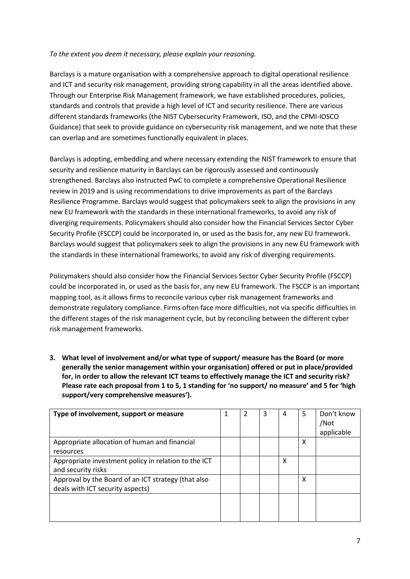### *To the extent you deem it necessary, please explain your reasoning.*

Barclays is a mature organisation with a comprehensive approach to digital operational resilience and ICT and security risk management, providing strong capability in all the areas identified above. Through our Enterprise Risk Management framework, we have established procedures, policies, standards and controls that provide a high level of ICT and security resilience. There are various different standards frameworks (the NIST Cybersecurity Framework, ISO, and the CPMI-IOSCO Guidance) that seek to provide guidance on cybersecurity risk management, and we note that these can overlap and are sometimes functionally equivalent in places.

Barclays is adopting, embedding and where necessary extending the NIST framework to ensure that security and resilience maturity in Barclays can be rigorously assessed and continuously strengthened. Barclays also instructed PwC to complete a comprehensive Operational Resilience review in 2019 and is using recommendations to drive improvements as part of the Barclays Resilience Programme. Barclays would suggest that policymakers seek to align the provisions in any new EU framework with the standards in these international frameworks, to avoid any risk of diverging requirements. Policymakers should also consider how the Financial Services Sector Cyber Security Profile (FSCCP) could be incorporated in, or used as the basis for, any new EU framework. Barclays would suggest that policymakers seek to align the provisions in any new EU framework with the standards in these international frameworks, to avoid any risk of diverging requirements.

Policymakers should also consider how the Financial Services Sector Cyber Security Profile (FSCCP) could be incorporated in, or used as the basis for, any new EU framework. The FSCCP is an important mapping tool, as it allows firms to reconcile various cyber risk management frameworks and demonstrate regulatory compliance. Firms often face more difficulties, not via specific difficulties in the different stages of the risk management cycle, but by reconciling between the different cyber risk management frameworks.

**3. What level of involvement and/or what type of support/ measure has the Board (or more generally the senior management within your organisation) offered or put in place/provided for, in order to allow the relevant ICT teams to effectively manage the ICT and security risk? Please rate each proposal from 1 to 5, 1 standing for 'no support/ no measure' and 5 for 'high support/very comprehensive measures').** 

| Type of involvement, support or measure                                                 | 1 | 3 | 4 | 5 | Don't know<br>/Not<br>applicable |
|-----------------------------------------------------------------------------------------|---|---|---|---|----------------------------------|
| Appropriate allocation of human and financial<br>resources                              |   |   |   | x |                                  |
| Appropriate investment policy in relation to the ICT<br>and security risks              |   |   | x |   |                                  |
| Approval by the Board of an ICT strategy (that also<br>deals with ICT security aspects) |   |   |   | x |                                  |
|                                                                                         |   |   |   |   |                                  |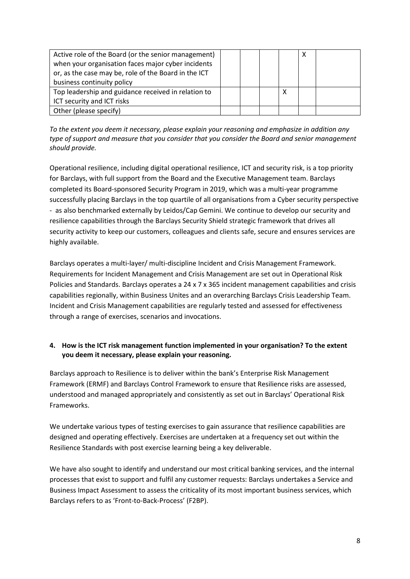| Active role of the Board (or the senior management)  |  |   |  |
|------------------------------------------------------|--|---|--|
| when your organisation faces major cyber incidents   |  |   |  |
| or, as the case may be, role of the Board in the ICT |  |   |  |
| business continuity policy                           |  |   |  |
| Top leadership and guidance received in relation to  |  | х |  |
| ICT security and ICT risks                           |  |   |  |
| Other (please specify)                               |  |   |  |

*To the extent you deem it necessary, please explain your reasoning and emphasize in addition any type of support and measure that you consider that you consider the Board and senior management should provide.* 

Operational resilience, including digital operational resilience, ICT and security risk, is a top priority for Barclays, with full support from the Board and the Executive Management team. Barclays completed its Board-sponsored Security Program in 2019, which was a multi-year programme successfully placing Barclays in the top quartile of all organisations from a Cyber security perspective - as also benchmarked externally by Leidos/Cap Gemini. We continue to develop our security and resilience capabilities through the Barclays Security Shield strategic framework that drives all security activity to keep our customers, colleagues and clients safe, secure and ensures services are highly available.

Barclays operates a multi-layer/ multi-discipline Incident and Crisis Management Framework. Requirements for Incident Management and Crisis Management are set out in Operational Risk Policies and Standards. Barclays operates a 24 x 7 x 365 incident management capabilities and crisis capabilities regionally, within Business Unites and an overarching Barclays Crisis Leadership Team. Incident and Crisis Management capabilities are regularly tested and assessed for effectiveness through a range of exercises, scenarios and invocations.

## **4. How is the ICT risk management function implemented in your organisation? To the extent you deem it necessary, please explain your reasoning.**

Barclays approach to Resilience is to deliver within the bank's Enterprise Risk Management Framework (ERMF) and Barclays Control Framework to ensure that Resilience risks are assessed, understood and managed appropriately and consistently as set out in Barclays' Operational Risk Frameworks.

We undertake various types of testing exercises to gain assurance that resilience capabilities are designed and operating effectively. Exercises are undertaken at a frequency set out within the Resilience Standards with post exercise learning being a key deliverable.

We have also sought to identify and understand our most critical banking services, and the internal processes that exist to support and fulfil any customer requests: Barclays undertakes a Service and Business Impact Assessment to assess the criticality of its most important business services, which Barclays refers to as 'Front-to-Back-Process' (F2BP).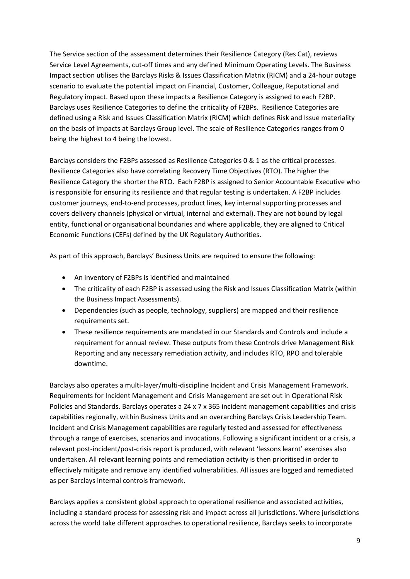The Service section of the assessment determines their Resilience Category (Res Cat), reviews Service Level Agreements, cut-off times and any defined Minimum Operating Levels. The Business Impact section utilises the Barclays Risks & Issues Classification Matrix (RICM) and a 24-hour outage scenario to evaluate the potential impact on Financial, Customer, Colleague, Reputational and Regulatory impact. Based upon these impacts a Resilience Category is assigned to each F2BP. Barclays uses Resilience Categories to define the criticality of F2BPs. Resilience Categories are defined using a Risk and Issues Classification Matrix (RICM) which defines Risk and Issue materiality on the basis of impacts at Barclays Group level. The scale of Resilience Categories ranges from 0 being the highest to 4 being the lowest.

Barclays considers the F2BPs assessed as Resilience Categories 0 & 1 as the critical processes. Resilience Categories also have correlating Recovery Time Objectives (RTO). The higher the Resilience Category the shorter the RTO. Each F2BP is assigned to Senior Accountable Executive who is responsible for ensuring its resilience and that regular testing is undertaken. A F2BP includes customer journeys, end-to-end processes, product lines, key internal supporting processes and covers delivery channels (physical or virtual, internal and external). They are not bound by legal entity, functional or organisational boundaries and where applicable, they are aligned to Critical Economic Functions (CEFs) defined by the UK Regulatory Authorities.

As part of this approach, Barclays' Business Units are required to ensure the following:

- An inventory of F2BPs is identified and maintained
- The criticality of each F2BP is assessed using the Risk and Issues Classification Matrix (within the Business Impact Assessments).
- Dependencies (such as people, technology, suppliers) are mapped and their resilience requirements set.
- These resilience requirements are mandated in our Standards and Controls and include a requirement for annual review. These outputs from these Controls drive Management Risk Reporting and any necessary remediation activity, and includes RTO, RPO and tolerable downtime.

Barclays also operates a multi-layer/multi-discipline Incident and Crisis Management Framework. Requirements for Incident Management and Crisis Management are set out in Operational Risk Policies and Standards. Barclays operates a 24 x 7 x 365 incident management capabilities and crisis capabilities regionally, within Business Units and an overarching Barclays Crisis Leadership Team. Incident and Crisis Management capabilities are regularly tested and assessed for effectiveness through a range of exercises, scenarios and invocations. Following a significant incident or a crisis, a relevant post-incident/post-crisis report is produced, with relevant 'lessons learnt' exercises also undertaken. All relevant learning points and remediation activity is then prioritised in order to effectively mitigate and remove any identified vulnerabilities. All issues are logged and remediated as per Barclays internal controls framework.

Barclays applies a consistent global approach to operational resilience and associated activities, including a standard process for assessing risk and impact across all jurisdictions. Where jurisdictions across the world take different approaches to operational resilience, Barclays seeks to incorporate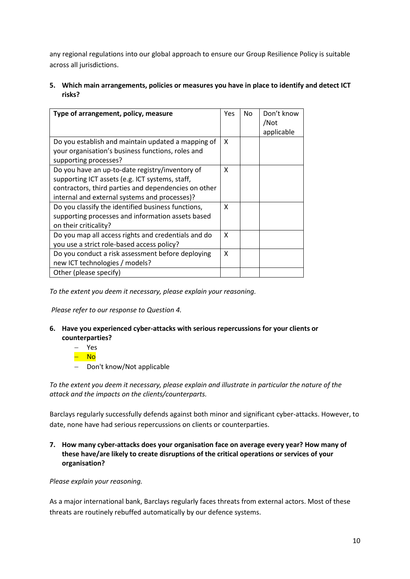any regional regulations into our global approach to ensure our Group Resilience Policy is suitable across all jurisdictions.

**5. Which main arrangements, policies or measures you have in place to identify and detect ICT risks?**

| Type of arrangement, policy, measure                                                                                                                                                                        | Yes | No | Don't know<br>/Not<br>applicable |
|-------------------------------------------------------------------------------------------------------------------------------------------------------------------------------------------------------------|-----|----|----------------------------------|
| Do you establish and maintain updated a mapping of<br>your organisation's business functions, roles and<br>supporting processes?                                                                            | X   |    |                                  |
| Do you have an up-to-date registry/inventory of<br>supporting ICT assets (e.g. ICT systems, staff,<br>contractors, third parties and dependencies on other<br>internal and external systems and processes)? | X   |    |                                  |
| Do you classify the identified business functions,<br>supporting processes and information assets based<br>on their criticality?                                                                            | X   |    |                                  |
| Do you map all access rights and credentials and do<br>you use a strict role-based access policy?                                                                                                           | X   |    |                                  |
| Do you conduct a risk assessment before deploying<br>new ICT technologies / models?                                                                                                                         | X   |    |                                  |
| Other (please specify)                                                                                                                                                                                      |     |    |                                  |

*To the extent you deem it necessary, please explain your reasoning.* 

*Please refer to our response to Question 4.* 

- **6. Have you experienced cyber-attacks with serious repercussions for your clients or counterparties?** 
	- Yes – No
	- Don't know/Not applicable

*To the extent you deem it necessary, please explain and illustrate in particular the nature of the attack and the impacts on the clients/counterparts.* 

Barclays regularly successfully defends against both minor and significant cyber-attacks. However, to date, none have had serious repercussions on clients or counterparties.

**7. How many cyber-attacks does your organisation face on average every year? How many of these have/are likely to create disruptions of the critical operations or services of your organisation?** 

*Please explain your reasoning.* 

As a major international bank, Barclays regularly faces threats from external actors. Most of these threats are routinely rebuffed automatically by our defence systems.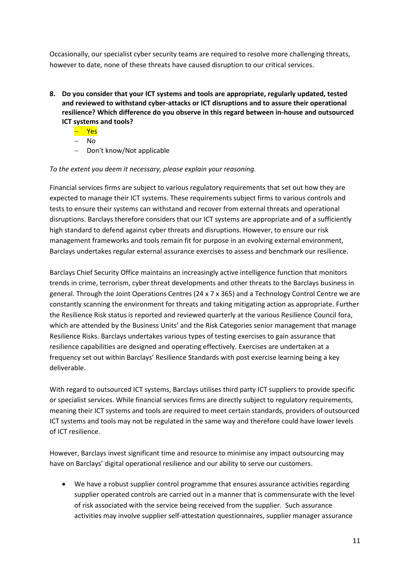Occasionally, our specialist cyber security teams are required to resolve more challenging threats, however to date, none of these threats have caused disruption to our critical services.

- **8. Do you consider that your ICT systems and tools are appropriate, regularly updated, tested and reviewed to withstand cyber-attacks or ICT disruptions and to assure their operational resilience? Which difference do you observe in this regard between in-house and outsourced ICT systems and tools?** 
	- **Yes**
	- $-$  No
	- Don't know/Not applicable

### *To the extent you deem it necessary, please explain your reasoning.*

Financial services firms are subject to various regulatory requirements that set out how they are expected to manage their ICT systems. These requirements subject firms to various controls and tests to ensure their systems can withstand and recover from external threats and operational disruptions. Barclays therefore considers that our ICT systems are appropriate and of a sufficiently high standard to defend against cyber threats and disruptions. However, to ensure our risk management frameworks and tools remain fit for purpose in an evolving external environment, Barclays undertakes regular external assurance exercises to assess and benchmark our resilience.

Barclays Chief Security Office maintains an increasingly active intelligence function that monitors trends in crime, terrorism, cyber threat developments and other threats to the Barclays business in general. Through the Joint Operations Centres (24 x 7 x 365) and a Technology Control Centre we are constantly scanning the environment for threats and taking mitigating action as appropriate. Further the Resilience Risk status is reported and reviewed quarterly at the various Resilience Council fora, which are attended by the Business Units' and the Risk Categories senior management that manage Resilience Risks. Barclays undertakes various types of testing exercises to gain assurance that resilience capabilities are designed and operating effectively. Exercises are undertaken at a frequency set out within Barclays' Resilience Standards with post exercise learning being a key deliverable.

With regard to outsourced ICT systems, Barclays utilises third party ICT suppliers to provide specific or specialist services. While financial services firms are directly subject to regulatory requirements, meaning their ICT systems and tools are required to meet certain standards, providers of outsourced ICT systems and tools may not be regulated in the same way and therefore could have lower levels of ICT resilience.

However, Barclays invest significant time and resource to minimise any impact outsourcing may have on Barclays' digital operational resilience and our ability to serve our customers.

 We have a robust supplier control programme that ensures assurance activities regarding supplier operated controls are carried out in a manner that is commensurate with the level of risk associated with the service being received from the supplier. Such assurance activities may involve supplier self-attestation questionnaires, supplier manager assurance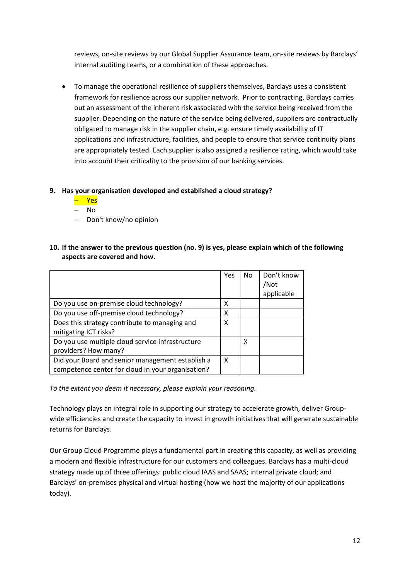reviews, on-site reviews by our Global Supplier Assurance team, on-site reviews by Barclays' internal auditing teams, or a combination of these approaches.

 To manage the operational resilience of suppliers themselves, Barclays uses a consistent framework for resilience across our supplier network. Prior to contracting, Barclays carries out an assessment of the inherent risk associated with the service being received from the supplier. Depending on the nature of the service being delivered, suppliers are contractually obligated to manage risk in the supplier chain, e.g. ensure timely availability of IT applications and infrastructure, facilities, and people to ensure that service continuity plans are appropriately tested. Each supplier is also assigned a resilience rating, which would take into account their criticality to the provision of our banking services.

## **9. Has your organisation developed and established a cloud strategy?**

- Yes
- No
- Don't know/no opinion
- **10. If the answer to the previous question (no. 9) is yes, please explain which of the following aspects are covered and how.**

|                                                                                                       | Yes | No | Don't know<br>/Not<br>applicable |
|-------------------------------------------------------------------------------------------------------|-----|----|----------------------------------|
| Do you use on-premise cloud technology?                                                               | х   |    |                                  |
| Do you use off-premise cloud technology?                                                              | x   |    |                                  |
| Does this strategy contribute to managing and<br>mitigating ICT risks?                                | X   |    |                                  |
| Do you use multiple cloud service infrastructure<br>providers? How many?                              |     | x  |                                  |
| Did your Board and senior management establish a<br>competence center for cloud in your organisation? | X   |    |                                  |

*To the extent you deem it necessary, please explain your reasoning.* 

Technology plays an integral role in supporting our strategy to accelerate growth, deliver Groupwide efficiencies and create the capacity to invest in growth initiatives that will generate sustainable returns for Barclays.

Our Group Cloud Programme plays a fundamental part in creating this capacity, as well as providing a modern and flexible infrastructure for our customers and colleagues. Barclays has a multi-cloud strategy made up of three offerings: public cloud IAAS and SAAS; internal private cloud; and Barclays' on-premises physical and virtual hosting (how we host the majority of our applications today).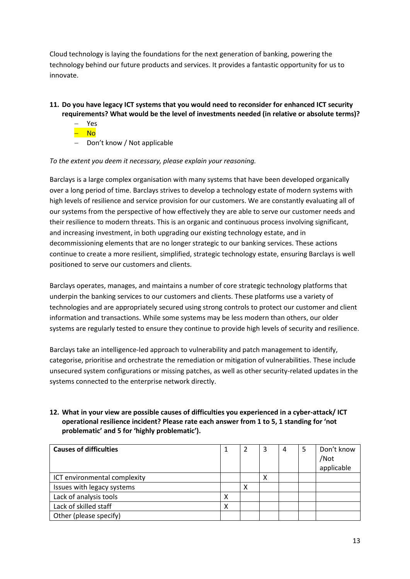Cloud technology is laying the foundations for the next generation of banking, powering the technology behind our future products and services. It provides a fantastic opportunity for us to innovate.

## **11. Do you have legacy ICT systems that you would need to reconsider for enhanced ICT security requirements? What would be the level of investments needed (in relative or absolute terms)?**

- Yes <mark>– No</mark>
- 
- Don't know / Not applicable

### *To the extent you deem it necessary, please explain your reasoning.*

Barclays is a large complex organisation with many systems that have been developed organically over a long period of time. Barclays strives to develop a technology estate of modern systems with high levels of resilience and service provision for our customers. We are constantly evaluating all of our systems from the perspective of how effectively they are able to serve our customer needs and their resilience to modern threats. This is an organic and continuous process involving significant, and increasing investment, in both upgrading our existing technology estate, and in decommissioning elements that are no longer strategic to our banking services. These actions continue to create a more resilient, simplified, strategic technology estate, ensuring Barclays is well positioned to serve our customers and clients.

Barclays operates, manages, and maintains a number of core strategic technology platforms that underpin the banking services to our customers and clients. These platforms use a variety of technologies and are appropriately secured using strong controls to protect our customer and client information and transactions. While some systems may be less modern than others, our older systems are regularly tested to ensure they continue to provide high levels of security and resilience.

Barclays take an intelligence-led approach to vulnerability and patch management to identify, categorise, prioritise and orchestrate the remediation or mitigation of vulnerabilities. These include unsecured system configurations or missing patches, as well as other security-related updates in the systems connected to the enterprise network directly.

## **12. What in your view are possible causes of difficulties you experienced in a cyber-attack/ ICT operational resilience incident? Please rate each answer from 1 to 5, 1 standing for 'not problematic' and 5 for 'highly problematic').**

| <b>Causes of difficulties</b> |   |   | 3 | 4 | Don't know<br>/Not<br>applicable |
|-------------------------------|---|---|---|---|----------------------------------|
| ICT environmental complexity  |   |   | х |   |                                  |
| Issues with legacy systems    |   | х |   |   |                                  |
| Lack of analysis tools        | х |   |   |   |                                  |
| Lack of skilled staff         | х |   |   |   |                                  |
| Other (please specify)        |   |   |   |   |                                  |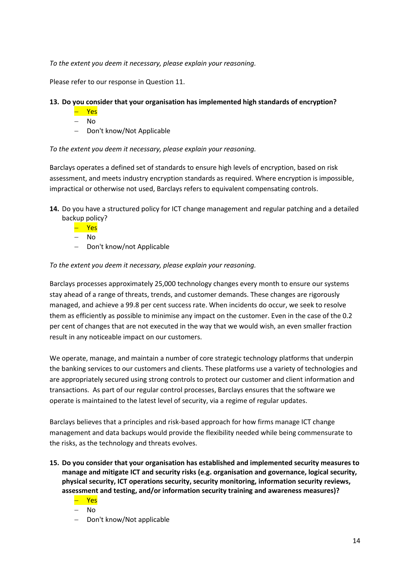*To the extent you deem it necessary, please explain your reasoning.* 

Please refer to our response in Question 11.

### **13. Do you consider that your organisation has implemented high standards of encryption?**

- Yes
- No
- Don't know/Not Applicable

*To the extent you deem it necessary, please explain your reasoning.* 

Barclays operates a defined set of standards to ensure high levels of encryption, based on risk assessment, and meets industry encryption standards as required. Where encryption is impossible, impractical or otherwise not used, Barclays refers to equivalent compensating controls.

- **14.** Do you have a structured policy for ICT change management and regular patching and a detailed backup policy?
	- Yes
	- No
	- Don't know/not Applicable

*To the extent you deem it necessary, please explain your reasoning.* 

Barclays processes approximately 25,000 technology changes every month to ensure our systems stay ahead of a range of threats, trends, and customer demands. These changes are rigorously managed, and achieve a 99.8 per cent success rate. When incidents do occur, we seek to resolve them as efficiently as possible to minimise any impact on the customer. Even in the case of the 0.2 per cent of changes that are not executed in the way that we would wish, an even smaller fraction result in any noticeable impact on our customers.

We operate, manage, and maintain a number of core strategic technology platforms that underpin the banking services to our customers and clients. These platforms use a variety of technologies and are appropriately secured using strong controls to protect our customer and client information and transactions. As part of our regular control processes, Barclays ensures that the software we operate is maintained to the latest level of security, via a regime of regular updates.

Barclays believes that a principles and risk-based approach for how firms manage ICT change management and data backups would provide the flexibility needed while being commensurate to the risks, as the technology and threats evolves.

- **15. Do you consider that your organisation has established and implemented security measures to manage and mitigate ICT and security risks (e.g. organisation and governance, logical security, physical security, ICT operations security, security monitoring, information security reviews, assessment and testing, and/or information security training and awareness measures)?**
	- Yes
	- $-$  No
	- Don't know/Not applicable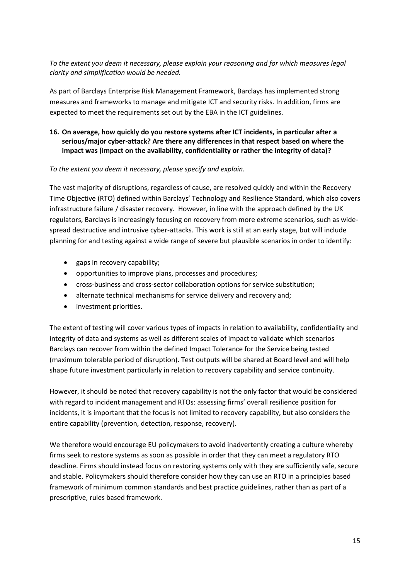*To the extent you deem it necessary, please explain your reasoning and for which measures legal clarity and simplification would be needed.* 

As part of Barclays Enterprise Risk Management Framework, Barclays has implemented strong measures and frameworks to manage and mitigate ICT and security risks. In addition, firms are expected to meet the requirements set out by the EBA in the ICT guidelines.

## **16. On average, how quickly do you restore systems after ICT incidents, in particular after a serious/major cyber-attack? Are there any differences in that respect based on where the impact was (impact on the availability, confidentiality or rather the integrity of data)?**

### *To the extent you deem it necessary, please specify and explain.*

The vast majority of disruptions, regardless of cause, are resolved quickly and within the Recovery Time Objective (RTO) defined within Barclays' Technology and Resilience Standard, which also covers infrastructure failure / disaster recovery. However, in line with the approach defined by the UK regulators, Barclays is increasingly focusing on recovery from more extreme scenarios, such as widespread destructive and intrusive cyber-attacks. This work is still at an early stage, but will include planning for and testing against a wide range of severe but plausible scenarios in order to identify:

- gaps in recovery capability;
- opportunities to improve plans, processes and procedures;
- cross-business and cross-sector collaboration options for service substitution;
- alternate technical mechanisms for service delivery and recovery and;
- investment priorities.

The extent of testing will cover various types of impacts in relation to availability, confidentiality and integrity of data and systems as well as different scales of impact to validate which scenarios Barclays can recover from within the defined Impact Tolerance for the Service being tested (maximum tolerable period of disruption). Test outputs will be shared at Board level and will help shape future investment particularly in relation to recovery capability and service continuity.

However, it should be noted that recovery capability is not the only factor that would be considered with regard to incident management and RTOs: assessing firms' overall resilience position for incidents, it is important that the focus is not limited to recovery capability, but also considers the entire capability (prevention, detection, response, recovery).

We therefore would encourage EU policymakers to avoid inadvertently creating a culture whereby firms seek to restore systems as soon as possible in order that they can meet a regulatory RTO deadline. Firms should instead focus on restoring systems only with they are sufficiently safe, secure and stable. Policymakers should therefore consider how they can use an RTO in a principles based framework of minimum common standards and best practice guidelines, rather than as part of a prescriptive, rules based framework.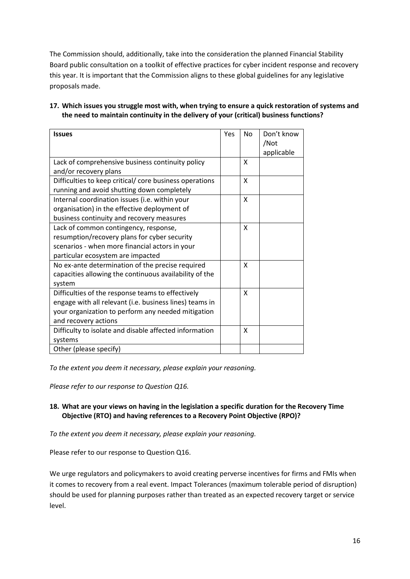The Commission should, additionally, take into the consideration the planned Financial Stability Board public consultation on a toolkit of effective practices for cyber incident response and recovery this year. It is important that the Commission aligns to these global guidelines for any legislative proposals made.

**17. Which issues you struggle most with, when trying to ensure a quick restoration of systems and the need to maintain continuity in the delivery of your (critical) business functions?**

| <b>Issues</b>                                                                                                                                                                              | <b>Yes</b> | <b>No</b>    | Don't know<br>/Not<br>applicable |
|--------------------------------------------------------------------------------------------------------------------------------------------------------------------------------------------|------------|--------------|----------------------------------|
| Lack of comprehensive business continuity policy<br>and/or recovery plans                                                                                                                  |            | X            |                                  |
| Difficulties to keep critical/ core business operations<br>running and avoid shutting down completely                                                                                      |            | X            |                                  |
| Internal coordination issues (i.e. within your<br>organisation) in the effective deployment of<br>business continuity and recovery measures                                                |            | X            |                                  |
| Lack of common contingency, response,<br>resumption/recovery plans for cyber security<br>scenarios - when more financial actors in your<br>particular ecosystem are impacted               |            | X            |                                  |
| No ex-ante determination of the precise required<br>capacities allowing the continuous availability of the<br>system                                                                       |            | X            |                                  |
| Difficulties of the response teams to effectively<br>engage with all relevant (i.e. business lines) teams in<br>your organization to perform any needed mitigation<br>and recovery actions |            | $\mathsf{x}$ |                                  |
| Difficulty to isolate and disable affected information<br>systems                                                                                                                          |            | X            |                                  |
| Other (please specify)                                                                                                                                                                     |            |              |                                  |

*To the extent you deem it necessary, please explain your reasoning.* 

*Please refer to our response to Question Q16.*

## **18. What are your views on having in the legislation a specific duration for the Recovery Time Objective (RTO) and having references to a Recovery Point Objective (RPO)?**

*To the extent you deem it necessary, please explain your reasoning.*

Please refer to our response to Question Q16.

We urge regulators and policymakers to avoid creating perverse incentives for firms and FMIs when it comes to recovery from a real event. Impact Tolerances (maximum tolerable period of disruption) should be used for planning purposes rather than treated as an expected recovery target or service level.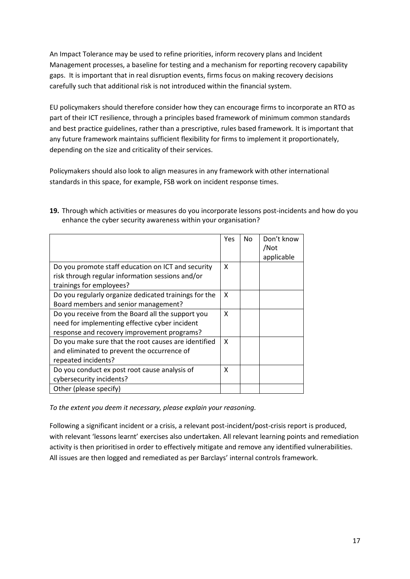An Impact Tolerance may be used to refine priorities, inform recovery plans and Incident Management processes, a baseline for testing and a mechanism for reporting recovery capability gaps. It is important that in real disruption events, firms focus on making recovery decisions carefully such that additional risk is not introduced within the financial system.

EU policymakers should therefore consider how they can encourage firms to incorporate an RTO as part of their ICT resilience, through a principles based framework of minimum common standards and best practice guidelines, rather than a prescriptive, rules based framework. It is important that any future framework maintains sufficient flexibility for firms to implement it proportionately, depending on the size and criticality of their services.

Policymakers should also look to align measures in any framework with other international standards in this space, for example, FSB work on incident response times.

|                                                                                                                                                    | Yes                       | No | Don't know<br>/Not |
|----------------------------------------------------------------------------------------------------------------------------------------------------|---------------------------|----|--------------------|
|                                                                                                                                                    |                           |    | applicable         |
| Do you promote staff education on ICT and security<br>risk through regular information sessions and/or<br>trainings for employees?                 | $\boldsymbol{\mathsf{x}}$ |    |                    |
| Do you regularly organize dedicated trainings for the<br>Board members and senior management?                                                      | X                         |    |                    |
| Do you receive from the Board all the support you<br>need for implementing effective cyber incident<br>response and recovery improvement programs? | X                         |    |                    |
| Do you make sure that the root causes are identified<br>and eliminated to prevent the occurrence of<br>repeated incidents?                         | $\boldsymbol{\mathsf{x}}$ |    |                    |
| Do you conduct ex post root cause analysis of<br>cybersecurity incidents?                                                                          | X                         |    |                    |
| Other (please specify)                                                                                                                             |                           |    |                    |

**19.** Through which activities or measures do you incorporate lessons post-incidents and how do you enhance the cyber security awareness within your organisation?

*To the extent you deem it necessary, please explain your reasoning.* 

Following a significant incident or a crisis, a relevant post-incident/post-crisis report is produced, with relevant 'lessons learnt' exercises also undertaken. All relevant learning points and remediation activity is then prioritised in order to effectively mitigate and remove any identified vulnerabilities. All issues are then logged and remediated as per Barclays' internal controls framework.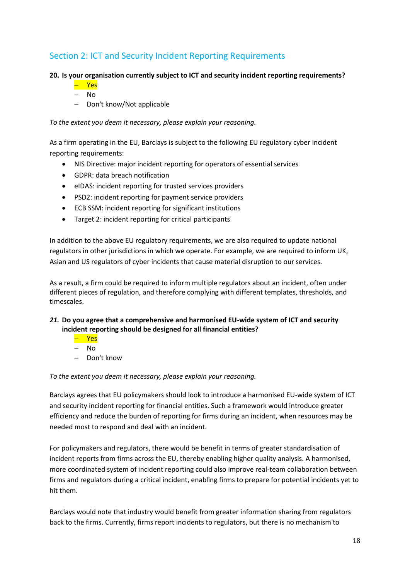## Section 2: ICT and Security Incident Reporting Requirements

## **20. Is your organisation currently subject to ICT and security incident reporting requirements?**

Yes

No

Don't know/Not applicable

*To the extent you deem it necessary, please explain your reasoning.* 

As a firm operating in the EU, Barclays is subject to the following EU regulatory cyber incident reporting requirements:

- NIS Directive: major incident reporting for operators of essential services
- GDPR: data breach notification
- eIDAS: incident reporting for trusted services providers
- PSD2: incident reporting for payment service providers
- ECB SSM: incident reporting for significant institutions
- Target 2: incident reporting for critical participants

In addition to the above EU regulatory requirements, we are also required to update national regulators in other jurisdictions in which we operate. For example, we are required to inform UK, Asian and US regulators of cyber incidents that cause material disruption to our services.

As a result, a firm could be required to inform multiple regulators about an incident, often under different pieces of regulation, and therefore complying with different templates, thresholds, and timescales.

## *21.* **Do you agree that a comprehensive and harmonised EU-wide system of ICT and security incident reporting should be designed for all financial entities?**

- Yes
- No
- Don't know

*To the extent you deem it necessary, please explain your reasoning.* 

Barclays agrees that EU policymakers should look to introduce a harmonised EU-wide system of ICT and security incident reporting for financial entities. Such a framework would introduce greater efficiency and reduce the burden of reporting for firms during an incident, when resources may be needed most to respond and deal with an incident.

For policymakers and regulators, there would be benefit in terms of greater standardisation of incident reports from firms across the EU, thereby enabling higher quality analysis. A harmonised, more coordinated system of incident reporting could also improve real-team collaboration between firms and regulators during a critical incident, enabling firms to prepare for potential incidents yet to hit them.

Barclays would note that industry would benefit from greater information sharing from regulators back to the firms. Currently, firms report incidents to regulators, but there is no mechanism to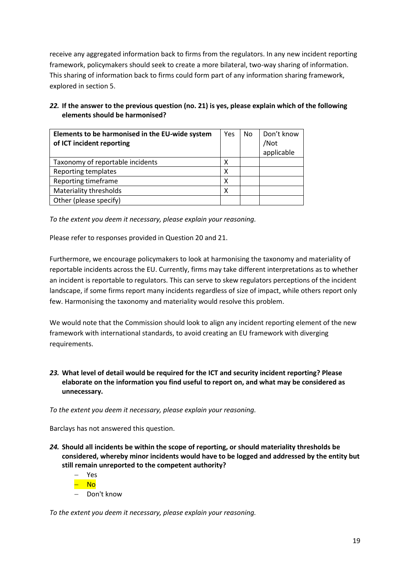receive any aggregated information back to firms from the regulators. In any new incident reporting framework, policymakers should seek to create a more bilateral, two-way sharing of information. This sharing of information back to firms could form part of any information sharing framework, explored in section 5.

## *22.* **If the answer to the previous question (no. 21) is yes, please explain which of the following elements should be harmonised?**

| Elements to be harmonised in the EU-wide system<br>of ICT incident reporting | Yes | No | Don't know<br>/Not<br>applicable |
|------------------------------------------------------------------------------|-----|----|----------------------------------|
| Taxonomy of reportable incidents                                             | х   |    |                                  |
| Reporting templates                                                          | х   |    |                                  |
| Reporting timeframe                                                          | χ   |    |                                  |
| Materiality thresholds                                                       | х   |    |                                  |
| Other (please specify)                                                       |     |    |                                  |

*To the extent you deem it necessary, please explain your reasoning.* 

Please refer to responses provided in Question 20 and 21.

Furthermore, we encourage policymakers to look at harmonising the taxonomy and materiality of reportable incidents across the EU. Currently, firms may take different interpretations as to whether an incident is reportable to regulators. This can serve to skew regulators perceptions of the incident landscape, if some firms report many incidents regardless of size of impact, while others report only few. Harmonising the taxonomy and materiality would resolve this problem.

We would note that the Commission should look to align any incident reporting element of the new framework with international standards, to avoid creating an EU framework with diverging requirements.

## *23.* **What level of detail would be required for the ICT and security incident reporting? Please elaborate on the information you find useful to report on, and what may be considered as unnecessary.**

*To the extent you deem it necessary, please explain your reasoning.* 

Barclays has not answered this question.

*24.* **Should all incidents be within the scope of reporting, or should materiality thresholds be considered, whereby minor incidents would have to be logged and addressed by the entity but still remain unreported to the competent authority?** 



*To the extent you deem it necessary, please explain your reasoning.*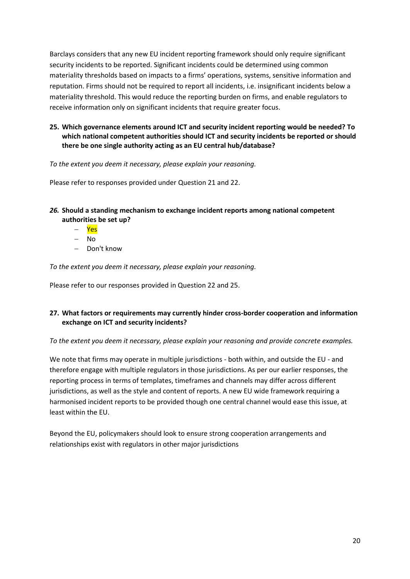Barclays considers that any new EU incident reporting framework should only require significant security incidents to be reported. Significant incidents could be determined using common materiality thresholds based on impacts to a firms' operations, systems, sensitive information and reputation. Firms should not be required to report all incidents, i.e. insignificant incidents below a materiality threshold. This would reduce the reporting burden on firms, and enable regulators to receive information only on significant incidents that require greater focus.

**25. Which governance elements around ICT and security incident reporting would be needed? To which national competent authorities should ICT and security incidents be reported or should there be one single authority acting as an EU central hub/database?** 

*To the extent you deem it necessary, please explain your reasoning.* 

Please refer to responses provided under Question 21 and 22.

- *26.* **Should a standing mechanism to exchange incident reports among national competent authorities be set up?** 
	- Yes
	- No
	- Don't know

*To the extent you deem it necessary, please explain your reasoning.* 

Please refer to our responses provided in Question 22 and 25.

## **27. What factors or requirements may currently hinder cross-border cooperation and information exchange on ICT and security incidents?**

*To the extent you deem it necessary, please explain your reasoning and provide concrete examples.* 

We note that firms may operate in multiple jurisdictions - both within, and outside the EU - and therefore engage with multiple regulators in those jurisdictions. As per our earlier responses, the reporting process in terms of templates, timeframes and channels may differ across different jurisdictions, as well as the style and content of reports. A new EU wide framework requiring a harmonised incident reports to be provided though one central channel would ease this issue, at least within the EU.

Beyond the EU, policymakers should look to ensure strong cooperation arrangements and relationships exist with regulators in other major jurisdictions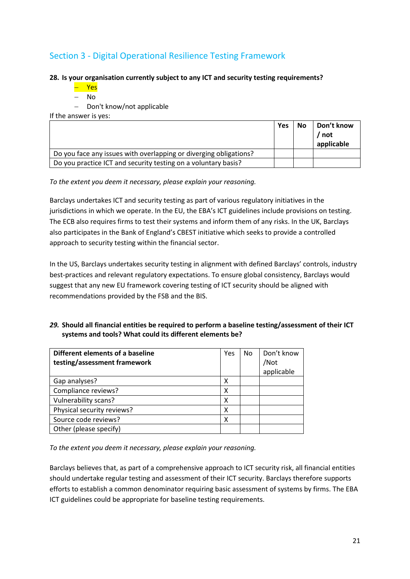## Section 3 - Digital Operational Resilience Testing Framework

### **28. Is your organisation currently subject to any ICT and security testing requirements?**

- Yes
- No
- Don't know/not applicable

If the answer is yes:

|                                                                   | <b>Yes</b> | <b>No</b> | Don't know<br>' not<br>applicable |
|-------------------------------------------------------------------|------------|-----------|-----------------------------------|
| Do you face any issues with overlapping or diverging obligations? |            |           |                                   |
| Do you practice ICT and security testing on a voluntary basis?    |            |           |                                   |

*To the extent you deem it necessary, please explain your reasoning.* 

Barclays undertakes ICT and security testing as part of various regulatory initiatives in the jurisdictions in which we operate. In the EU, the EBA's ICT guidelines include provisions on testing. The ECB also requires firms to test their systems and inform them of any risks. In the UK, Barclays also participates in the Bank of England's CBEST initiative which seeks to provide a controlled approach to security testing within the financial sector.

In the US, Barclays undertakes security testing in alignment with defined Barclays' controls, industry best-practices and relevant regulatory expectations. To ensure global consistency, Barclays would suggest that any new EU framework covering testing of ICT security should be aligned with recommendations provided by the FSB and the BIS.

## *29.* **Should all financial entities be required to perform a baseline testing/assessment of their ICT systems and tools? What could its different elements be?**

| Different elements of a baseline<br>testing/assessment framework | Yes | No | Don't know<br>/Not<br>applicable |
|------------------------------------------------------------------|-----|----|----------------------------------|
| Gap analyses?                                                    | х   |    |                                  |
| Compliance reviews?                                              | χ   |    |                                  |
| Vulnerability scans?                                             | χ   |    |                                  |
| Physical security reviews?                                       | х   |    |                                  |
| Source code reviews?                                             | х   |    |                                  |
| Other (please specify)                                           |     |    |                                  |

*To the extent you deem it necessary, please explain your reasoning.* 

Barclays believes that, as part of a comprehensive approach to ICT security risk, all financial entities should undertake regular testing and assessment of their ICT security. Barclays therefore supports efforts to establish a common denominator requiring basic assessment of systems by firms. The EBA ICT guidelines could be appropriate for baseline testing requirements.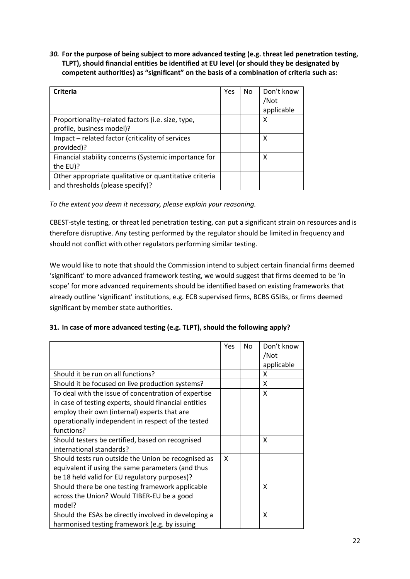*30.* **For the purpose of being subject to more advanced testing (e.g. threat led penetration testing, TLPT), should financial entities be identified at EU level (or should they be designated by competent authorities) as "significant" on the basis of a combination of criteria such as:** 

| <b>Criteria</b>                                        | Yes | No | Don't know |
|--------------------------------------------------------|-----|----|------------|
|                                                        |     |    | /Not       |
|                                                        |     |    | applicable |
| Proportionality-related factors (i.e. size, type,      |     |    | х          |
| profile, business model)?                              |     |    |            |
| Impact – related factor (criticality of services       |     |    | х          |
| provided)?                                             |     |    |            |
| Financial stability concerns (Systemic importance for  |     |    | x          |
| the EU)?                                               |     |    |            |
| Other appropriate qualitative or quantitative criteria |     |    |            |
| and thresholds (please specify)?                       |     |    |            |

*To the extent you deem it necessary, please explain your reasoning.* 

CBEST-style testing, or threat led penetration testing, can put a significant strain on resources and is therefore disruptive. Any testing performed by the regulator should be limited in frequency and should not conflict with other regulators performing similar testing.

We would like to note that should the Commission intend to subject certain financial firms deemed 'significant' to more advanced framework testing, we would suggest that firms deemed to be 'in scope' for more advanced requirements should be identified based on existing frameworks that already outline 'significant' institutions, e.g. ECB supervised firms, BCBS GSIBs, or firms deemed significant by member state authorities.

|  | 31. In case of more advanced testing (e.g. TLPT), should the following apply? |  |  |  |
|--|-------------------------------------------------------------------------------|--|--|--|
|--|-------------------------------------------------------------------------------|--|--|--|

|                                                                                                                                                                                                                                   | Yes | <b>No</b> | Don't know<br>/Not<br>applicable |
|-----------------------------------------------------------------------------------------------------------------------------------------------------------------------------------------------------------------------------------|-----|-----------|----------------------------------|
| Should it be run on all functions?                                                                                                                                                                                                |     |           | x                                |
| Should it be focused on live production systems?                                                                                                                                                                                  |     |           | X                                |
| To deal with the issue of concentration of expertise<br>in case of testing experts, should financial entities<br>employ their own (internal) experts that are<br>operationally independent in respect of the tested<br>functions? |     |           | X                                |
| Should testers be certified, based on recognised<br>international standards?                                                                                                                                                      |     |           | x                                |
| Should tests run outside the Union be recognised as<br>equivalent if using the same parameters (and thus<br>be 18 held valid for EU regulatory purposes)?                                                                         | X   |           |                                  |
| Should there be one testing framework applicable<br>across the Union? Would TIBER-EU be a good<br>model?                                                                                                                          |     |           | X                                |
| Should the ESAs be directly involved in developing a<br>harmonised testing framework (e.g. by issuing                                                                                                                             |     |           | x                                |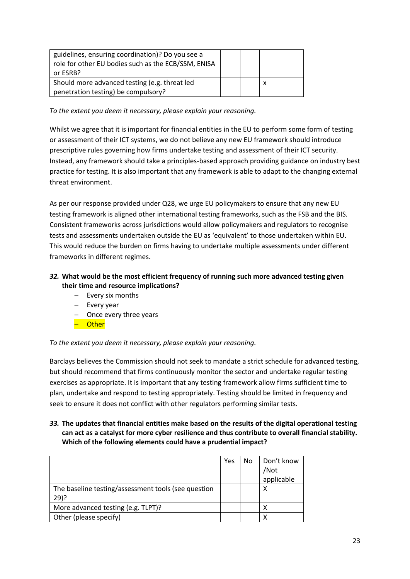| guidelines, ensuring coordination)? Do you see a<br>role for other EU bodies such as the ECB/SSM, ENISA<br>or ESRB? |  |  |
|---------------------------------------------------------------------------------------------------------------------|--|--|
| Should more advanced testing (e.g. threat led<br>penetration testing) be compulsory?                                |  |  |
|                                                                                                                     |  |  |

*To the extent you deem it necessary, please explain your reasoning.* 

Whilst we agree that it is important for financial entities in the EU to perform some form of testing or assessment of their ICT systems, we do not believe any new EU framework should introduce prescriptive rules governing how firms undertake testing and assessment of their ICT security. Instead, any framework should take a principles-based approach providing guidance on industry best practice for testing. It is also important that any framework is able to adapt to the changing external threat environment.

As per our response provided under Q28, we urge EU policymakers to ensure that any new EU testing framework is aligned other international testing frameworks, such as the FSB and the BIS. Consistent frameworks across jurisdictions would allow policymakers and regulators to recognise tests and assessments undertaken outside the EU as 'equivalent' to those undertaken within EU. This would reduce the burden on firms having to undertake multiple assessments under different frameworks in different regimes.

## *32.* **What would be the most efficient frequency of running such more advanced testing given their time and resource implications?**

- $-$  Every six months
- $-$  Every year
- $-$  Once every three years
- Other

## *To the extent you deem it necessary, please explain your reasoning.*

Barclays believes the Commission should not seek to mandate a strict schedule for advanced testing, but should recommend that firms continuously monitor the sector and undertake regular testing exercises as appropriate. It is important that any testing framework allow firms sufficient time to plan, undertake and respond to testing appropriately. Testing should be limited in frequency and seek to ensure it does not conflict with other regulators performing similar tests.

## *33.* **The updates that financial entities make based on the results of the digital operational testing can act as a catalyst for more cyber resilience and thus contribute to overall financial stability. Which of the following elements could have a prudential impact?**

|                                                     | Yes | No | Don't know |
|-----------------------------------------------------|-----|----|------------|
|                                                     |     |    | /Not       |
|                                                     |     |    | applicable |
| The baseline testing/assessment tools (see question |     |    | х          |
| $29$ ?                                              |     |    |            |
| More advanced testing (e.g. TLPT)?                  |     |    |            |
| Other (please specify)                              |     |    |            |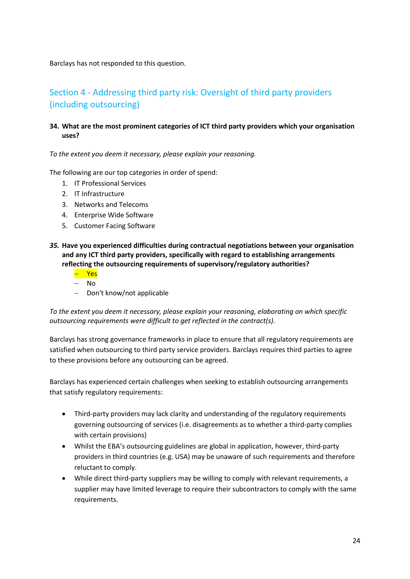Barclays has not responded to this question.

## Section 4 - Addressing third party risk: Oversight of third party providers (including outsourcing)

## **34. What are the most prominent categories of ICT third party providers which your organisation uses?**

*To the extent you deem it necessary, please explain your reasoning.* 

The following are our top categories in order of spend:

- 1. IT Professional Services
- 2. IT Infrastructure
- 3. Networks and Telecoms
- 4. Enterprise Wide Software
- 5. Customer Facing Software
- *35.* **Have you experienced difficulties during contractual negotiations between your organisation and any ICT third party providers, specifically with regard to establishing arrangements reflecting the outsourcing requirements of supervisory/regulatory authorities?** 
	- Yes
	- $-$  No
	- Don't know/not applicable

*To the extent you deem it necessary, please explain your reasoning, elaborating on which specific outsourcing requirements were difficult to get reflected in the contract(s).* 

Barclays has strong governance frameworks in place to ensure that all regulatory requirements are satisfied when outsourcing to third party service providers. Barclays requires third parties to agree to these provisions before any outsourcing can be agreed.

Barclays has experienced certain challenges when seeking to establish outsourcing arrangements that satisfy regulatory requirements:

- Third-party providers may lack clarity and understanding of the regulatory requirements governing outsourcing of services (i.e. disagreements as to whether a third-party complies with certain provisions)
- Whilst the EBA's outsourcing guidelines are global in application, however, third-party providers in third countries (e.g. USA) may be unaware of such requirements and therefore reluctant to comply.
- While direct third-party suppliers may be willing to comply with relevant requirements, a supplier may have limited leverage to require their subcontractors to comply with the same requirements.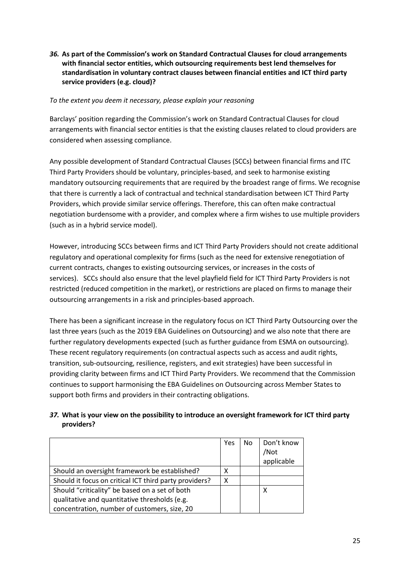## *36.* **As part of the Commission's work on Standard Contractual Clauses for cloud arrangements with financial sector entities, which outsourcing requirements best lend themselves for standardisation in voluntary contract clauses between financial entities and ICT third party service providers (e.g. cloud)?**

### *To the extent you deem it necessary, please explain your reasoning*

Barclays' position regarding the Commission's work on Standard Contractual Clauses for cloud arrangements with financial sector entities is that the existing clauses related to cloud providers are considered when assessing compliance.

Any possible development of Standard Contractual Clauses (SCCs) between financial firms and ITC Third Party Providers should be voluntary, principles-based, and seek to harmonise existing mandatory outsourcing requirements that are required by the broadest range of firms. We recognise that there is currently a lack of contractual and technical standardisation between ICT Third Party Providers, which provide similar service offerings. Therefore, this can often make contractual negotiation burdensome with a provider, and complex where a firm wishes to use multiple providers (such as in a hybrid service model).

However, introducing SCCs between firms and ICT Third Party Providers should not create additional regulatory and operational complexity for firms (such as the need for extensive renegotiation of current contracts, changes to existing outsourcing services, or increases in the costs of services). SCCs should also ensure that the level playfield field for ICT Third Party Providers is not restricted (reduced competition in the market), or restrictions are placed on firms to manage their outsourcing arrangements in a risk and principles-based approach.

There has been a significant increase in the regulatory focus on ICT Third Party Outsourcing over the last three years (such as the 2019 EBA Guidelines on Outsourcing) and we also note that there are further regulatory developments expected (such as further guidance from ESMA on outsourcing). These recent regulatory requirements (on contractual aspects such as access and audit rights, transition, sub-outsourcing, resilience, registers, and exit strategies) have been successful in providing clarity between firms and ICT Third Party Providers. We recommend that the Commission continues to support harmonising the EBA Guidelines on Outsourcing across Member States to support both firms and providers in their contracting obligations.

## *37.* **What is your view on the possibility to introduce an oversight framework for ICT third party providers?**

|                                                        | Yes | No | Don't know<br>/Not<br>applicable |
|--------------------------------------------------------|-----|----|----------------------------------|
| Should an oversight framework be established?          | x   |    |                                  |
| Should it focus on critical ICT third party providers? | X   |    |                                  |
| Should "criticality" be based on a set of both         |     |    | x                                |
| qualitative and quantitative thresholds (e.g.          |     |    |                                  |
| concentration, number of customers, size, 20           |     |    |                                  |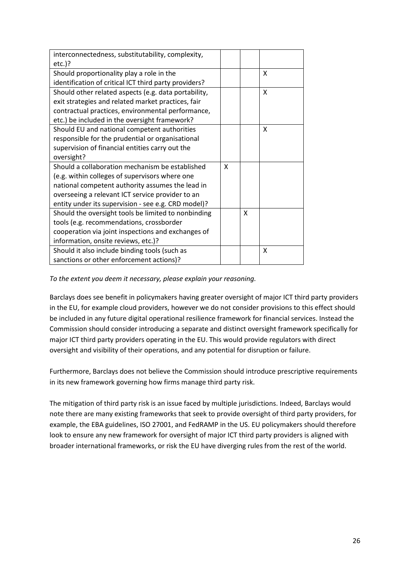| interconnectedness, substitutability, complexity,     |   |   |   |
|-------------------------------------------------------|---|---|---|
| $etc.$ )?                                             |   |   |   |
| Should proportionality play a role in the             |   |   | X |
| identification of critical ICT third party providers? |   |   |   |
| Should other related aspects (e.g. data portability,  |   |   | X |
| exit strategies and related market practices, fair    |   |   |   |
| contractual practices, environmental performance,     |   |   |   |
| etc.) be included in the oversight framework?         |   |   |   |
| Should EU and national competent authorities          |   |   | X |
| responsible for the prudential or organisational      |   |   |   |
| supervision of financial entities carry out the       |   |   |   |
| oversight?                                            |   |   |   |
| Should a collaboration mechanism be established       | X |   |   |
| (e.g. within colleges of supervisors where one        |   |   |   |
| national competent authority assumes the lead in      |   |   |   |
| overseeing a relevant ICT service provider to an      |   |   |   |
| entity under its supervision - see e.g. CRD model)?   |   |   |   |
| Should the oversight tools be limited to nonbinding   |   | X |   |
| tools (e.g. recommendations, crossborder              |   |   |   |
| cooperation via joint inspections and exchanges of    |   |   |   |
| information, onsite reviews, etc.)?                   |   |   |   |
| Should it also include binding tools (such as         |   |   | X |
| sanctions or other enforcement actions)?              |   |   |   |

*To the extent you deem it necessary, please explain your reasoning.* 

Barclays does see benefit in policymakers having greater oversight of major ICT third party providers in the EU, for example cloud providers, however we do not consider provisions to this effect should be included in any future digital operational resilience framework for financial services. Instead the Commission should consider introducing a separate and distinct oversight framework specifically for major ICT third party providers operating in the EU. This would provide regulators with direct oversight and visibility of their operations, and any potential for disruption or failure.

Furthermore, Barclays does not believe the Commission should introduce prescriptive requirements in its new framework governing how firms manage third party risk.

The mitigation of third party risk is an issue faced by multiple jurisdictions. Indeed, Barclays would note there are many existing frameworks that seek to provide oversight of third party providers, for example, the EBA guidelines, ISO 27001, and FedRAMP in the US. EU policymakers should therefore look to ensure any new framework for oversight of major ICT third party providers is aligned with broader international frameworks, or risk the EU have diverging rules from the rest of the world.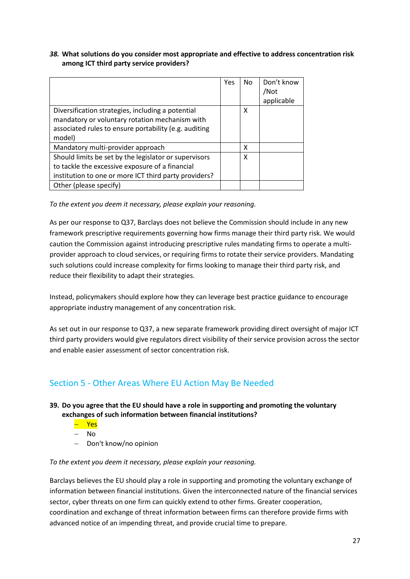### *38.* **What solutions do you consider most appropriate and effective to address concentration risk among ICT third party service providers?**

|                                                       | Yes | No | Don't know |
|-------------------------------------------------------|-----|----|------------|
|                                                       |     |    | /Not       |
|                                                       |     |    | applicable |
| Diversification strategies, including a potential     |     | X  |            |
| mandatory or voluntary rotation mechanism with        |     |    |            |
| associated rules to ensure portability (e.g. auditing |     |    |            |
| model)                                                |     |    |            |
| Mandatory multi-provider approach                     |     | x  |            |
| Should limits be set by the legislator or supervisors |     | X  |            |
| to tackle the excessive exposure of a financial       |     |    |            |
| institution to one or more ICT third party providers? |     |    |            |
| Other (please specify)                                |     |    |            |

*To the extent you deem it necessary, please explain your reasoning.* 

As per our response to Q37, Barclays does not believe the Commission should include in any new framework prescriptive requirements governing how firms manage their third party risk. We would caution the Commission against introducing prescriptive rules mandating firms to operate a multiprovider approach to cloud services, or requiring firms to rotate their service providers. Mandating such solutions could increase complexity for firms looking to manage their third party risk, and reduce their flexibility to adapt their strategies.

Instead, policymakers should explore how they can leverage best practice guidance to encourage appropriate industry management of any concentration risk.

As set out in our response to Q37, a new separate framework providing direct oversight of major ICT third party providers would give regulators direct visibility of their service provision across the sector and enable easier assessment of sector concentration risk.

## Section 5 - Other Areas Where EU Action May Be Needed

## **39. Do you agree that the EU should have a role in supporting and promoting the voluntary exchanges of such information between financial institutions?**

- <mark>- Yes</mark>
- $-$  No
- Don't know/no opinion

#### *To the extent you deem it necessary, please explain your reasoning.*

Barclays believes the EU should play a role in supporting and promoting the voluntary exchange of information between financial institutions. Given the interconnected nature of the financial services sector, cyber threats on one firm can quickly extend to other firms. Greater cooperation, coordination and exchange of threat information between firms can therefore provide firms with advanced notice of an impending threat, and provide crucial time to prepare.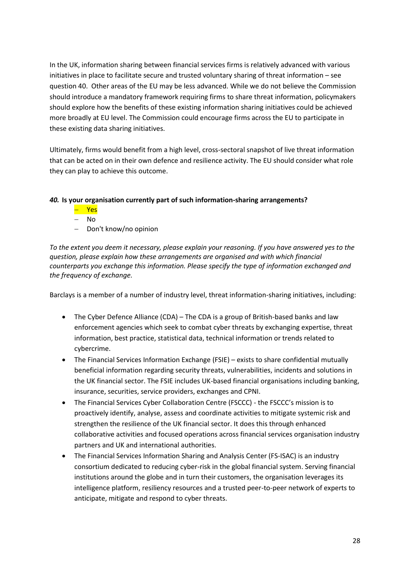In the UK, information sharing between financial services firms is relatively advanced with various initiatives in place to facilitate secure and trusted voluntary sharing of threat information – see question 40. Other areas of the EU may be less advanced. While we do not believe the Commission should introduce a mandatory framework requiring firms to share threat information, policymakers should explore how the benefits of these existing information sharing initiatives could be achieved more broadly at EU level. The Commission could encourage firms across the EU to participate in these existing data sharing initiatives.

Ultimately, firms would benefit from a high level, cross-sectoral snapshot of live threat information that can be acted on in their own defence and resilience activity. The EU should consider what role they can play to achieve this outcome.

## *40.* **Is your organisation currently part of such information-sharing arrangements?**

- <mark>— Yes</mark>
- No
- Don't know/no opinion

*To the extent you deem it necessary, please explain your reasoning. If you have answered yes to the question, please explain how these arrangements are organised and with which financial counterparts you exchange this information. Please specify the type of information exchanged and the frequency of exchange.*

Barclays is a member of a number of industry level, threat information-sharing initiatives, including:

- The Cyber Defence Alliance (CDA) The CDA is a group of British-based banks and law enforcement agencies which seek to combat cyber threats by exchanging expertise, threat information, best practice, statistical data, technical information or trends related to cybercrime.
- The Financial Services Information Exchange (FSIE) exists to share confidential mutually beneficial information regarding security threats, vulnerabilities, incidents and solutions in the UK financial sector. The FSIE includes UK-based financial organisations including banking, insurance, securities, service providers, exchanges and CPNI.
- The Financial Services Cyber Collaboration Centre (FSCCC) the FSCCC's mission is to proactively identify, analyse, assess and coordinate activities to mitigate systemic risk and strengthen the resilience of the UK financial sector. It does this through enhanced collaborative activities and focused operations across financial services organisation industry partners and UK and international authorities.
- The Financial Services Information Sharing and Analysis Center (FS-ISAC) is an industry consortium dedicated to reducing cyber-risk in the global financial system. Serving financial institutions around the globe and in turn their customers, the organisation leverages its intelligence platform, resiliency resources and a trusted peer-to-peer network of experts to anticipate, mitigate and respond to cyber threats.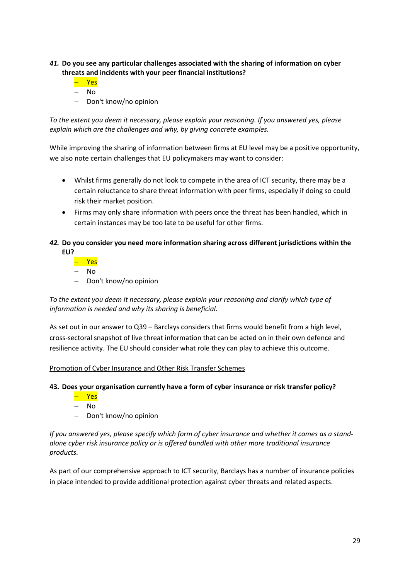## *41.* **Do you see any particular challenges associated with the sharing of information on cyber threats and incidents with your peer financial institutions?**

- Yes
- No
- Don't know/no opinion

*To the extent you deem it necessary, please explain your reasoning. If you answered yes, please explain which are the challenges and why, by giving concrete examples.* 

While improving the sharing of information between firms at EU level may be a positive opportunity, we also note certain challenges that EU policymakers may want to consider:

- Whilst firms generally do not look to compete in the area of ICT security, there may be a certain reluctance to share threat information with peer firms, especially if doing so could risk their market position.
- Firms may only share information with peers once the threat has been handled, which in certain instances may be too late to be useful for other firms.
- *42.* **Do you consider you need more information sharing across different jurisdictions within the EU?**
	- <mark>– Yes</mark>
	- No
	- Don't know/no opinion

*To the extent you deem it necessary, please explain your reasoning and clarify which type of information is needed and why its sharing is beneficial.* 

As set out in our answer to Q39 – Barclays considers that firms would benefit from a high level, cross-sectoral snapshot of live threat information that can be acted on in their own defence and resilience activity. The EU should consider what role they can play to achieve this outcome.

#### Promotion of Cyber Insurance and Other Risk Transfer Schemes

#### **43. Does your organisation currently have a form of cyber insurance or risk transfer policy?**

- Yes
- $-$  No
- Don't know/no opinion

*If you answered yes, please specify which form of cyber insurance and whether it comes as a standalone cyber risk insurance policy or is offered bundled with other more traditional insurance products.* 

As part of our comprehensive approach to ICT security, Barclays has a number of insurance policies in place intended to provide additional protection against cyber threats and related aspects.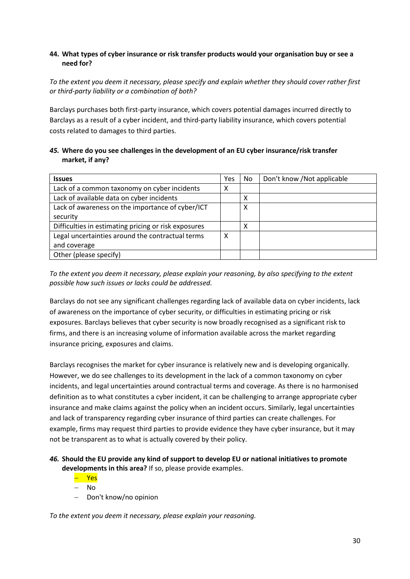## **44. What types of cyber insurance or risk transfer products would your organisation buy or see a need for?**

*To the extent you deem it necessary, please specify and explain whether they should cover rather first or third-party liability or a combination of both?* 

Barclays purchases both first-party insurance, which covers potential damages incurred directly to Barclays as a result of a cyber incident, and third-party liability insurance, which covers potential costs related to damages to third parties.

## *45.* **Where do you see challenges in the development of an EU cyber insurance/risk transfer market, if any?**

| <b>Issues</b>                                        | Yes | No. | Don't know / Not applicable |
|------------------------------------------------------|-----|-----|-----------------------------|
| Lack of a common taxonomy on cyber incidents         | х   |     |                             |
| Lack of available data on cyber incidents            |     | х   |                             |
| Lack of awareness on the importance of cyber/ICT     |     | х   |                             |
| security                                             |     |     |                             |
| Difficulties in estimating pricing or risk exposures |     | Χ   |                             |
| Legal uncertainties around the contractual terms     | х   |     |                             |
| and coverage                                         |     |     |                             |
| Other (please specify)                               |     |     |                             |

*To the extent you deem it necessary, please explain your reasoning, by also specifying to the extent possible how such issues or lacks could be addressed.* 

Barclays do not see any significant challenges regarding lack of available data on cyber incidents, lack of awareness on the importance of cyber security, or difficulties in estimating pricing or risk exposures. Barclays believes that cyber security is now broadly recognised as a significant risk to firms, and there is an increasing volume of information available across the market regarding insurance pricing, exposures and claims.

Barclays recognises the market for cyber insurance is relatively new and is developing organically. However, we do see challenges to its development in the lack of a common taxonomy on cyber incidents, and legal uncertainties around contractual terms and coverage. As there is no harmonised definition as to what constitutes a cyber incident, it can be challenging to arrange appropriate cyber insurance and make claims against the policy when an incident occurs. Similarly, legal uncertainties and lack of transparency regarding cyber insurance of third parties can create challenges. For example, firms may request third parties to provide evidence they have cyber insurance, but it may not be transparent as to what is actually covered by their policy.

### *46.* **Should the EU provide any kind of support to develop EU or national initiatives to promote developments in this area?** If so, please provide examples.

– Yes

- No
- Don't know/no opinion

*To the extent you deem it necessary, please explain your reasoning.*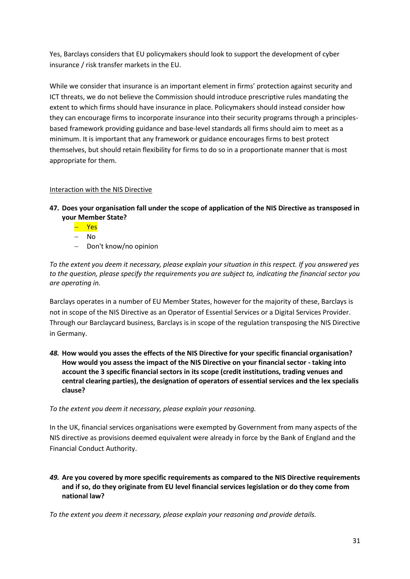Yes, Barclays considers that EU policymakers should look to support the development of cyber insurance / risk transfer markets in the EU.

While we consider that insurance is an important element in firms' protection against security and ICT threats, we do not believe the Commission should introduce prescriptive rules mandating the extent to which firms should have insurance in place. Policymakers should instead consider how they can encourage firms to incorporate insurance into their security programs through a principlesbased framework providing guidance and base-level standards all firms should aim to meet as a minimum. It is important that any framework or guidance encourages firms to best protect themselves, but should retain flexibility for firms to do so in a proportionate manner that is most appropriate for them.

## Interaction with the NIS Directive

- **47. Does your organisation fall under the scope of application of the NIS Directive as transposed in your Member State?** 
	- Yes
	- No
	- Don't know/no opinion

*To the extent you deem it necessary, please explain your situation in this respect. If you answered yes to the question, please specify the requirements you are subject to, indicating the financial sector you are operating in.* 

Barclays operates in a number of EU Member States, however for the majority of these, Barclays is not in scope of the NIS Directive as an Operator of Essential Services or a Digital Services Provider. Through our Barclaycard business, Barclays is in scope of the regulation transposing the NIS Directive in Germany.

*48.* **How would you asses the effects of the NIS Directive for your specific financial organisation? How would you assess the impact of the NIS Directive on your financial sector - taking into account the 3 specific financial sectors in its scope (credit institutions, trading venues and central clearing parties), the designation of operators of essential services and the lex specialis clause?**

*To the extent you deem it necessary, please explain your reasoning.* 

In the UK, financial services organisations were exempted by Government from many aspects of the NIS directive as provisions deemed equivalent were already in force by the Bank of England and the Financial Conduct Authority.

*49.* **Are you covered by more specific requirements as compared to the NIS Directive requirements and if so, do they originate from EU level financial services legislation or do they come from national law?** 

*To the extent you deem it necessary, please explain your reasoning and provide details.*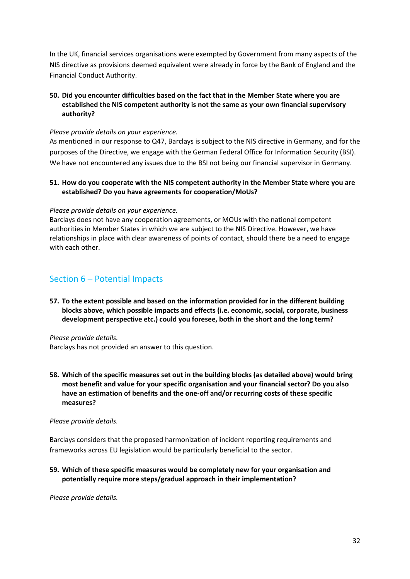In the UK, financial services organisations were exempted by Government from many aspects of the NIS directive as provisions deemed equivalent were already in force by the Bank of England and the Financial Conduct Authority.

## **50. Did you encounter difficulties based on the fact that in the Member State where you are established the NIS competent authority is not the same as your own financial supervisory authority?**

### *Please provide details on your experience.*

As mentioned in our response to Q47, Barclays is subject to the NIS directive in Germany, and for the purposes of the Directive, we engage with the German Federal Office for Information Security (BSI). We have not encountered any issues due to the BSI not being our financial supervisor in Germany.

### **51. How do you cooperate with the NIS competent authority in the Member State where you are established? Do you have agreements for cooperation/MoUs?**

### *Please provide details on your experience.*

Barclays does not have any cooperation agreements, or MOUs with the national competent authorities in Member States in which we are subject to the NIS Directive. However, we have relationships in place with clear awareness of points of contact, should there be a need to engage with each other.

## Section 6 – Potential Impacts

**57. To the extent possible and based on the information provided for in the different building blocks above, which possible impacts and effects (i.e. economic, social, corporate, business development perspective etc.) could you foresee, both in the short and the long term?** 

*Please provide details.*

Barclays has not provided an answer to this question.

**58. Which of the specific measures set out in the building blocks (as detailed above) would bring most benefit and value for your specific organisation and your financial sector? Do you also have an estimation of benefits and the one-off and/or recurring costs of these specific measures?** 

#### *Please provide details.*

Barclays considers that the proposed harmonization of incident reporting requirements and frameworks across EU legislation would be particularly beneficial to the sector.

**59. Which of these specific measures would be completely new for your organisation and potentially require more steps/gradual approach in their implementation?** 

*Please provide details.*